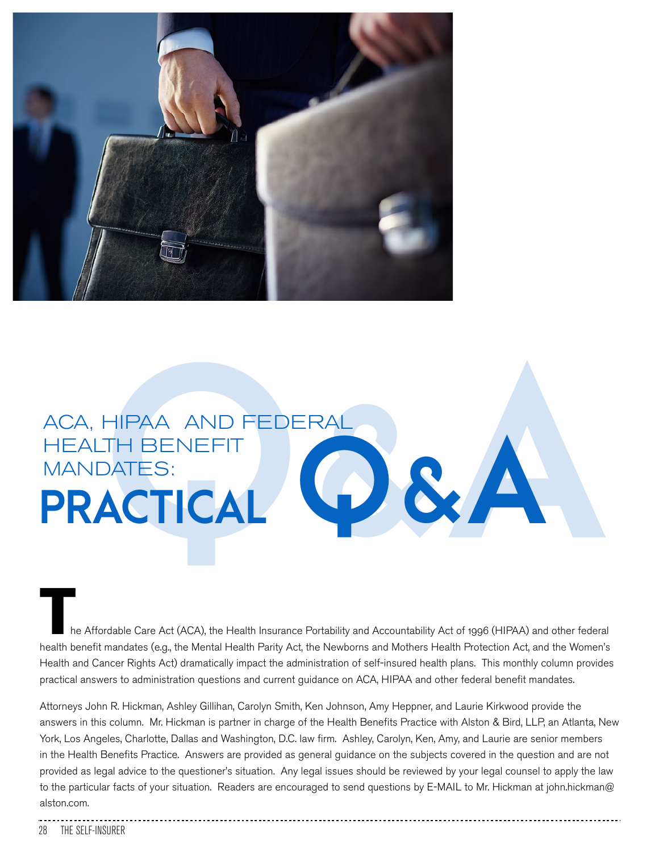

# ACA, HIPAA AND FEDERAL<br>HEALTH BENEFIT<br>**PRACTICAL** HEALTH BENEFIT MANDATES:<br>PRACTICAL MANDATES:<br>**PRACTICAL**  $\bigcirc$  & A

he Affordable Care Act (ACA), the Health Insurance Portability and Accountability Act of 1996 (HIPAA) and other federal health benefit mandates (e.g., the Mental Health Parity Act, the Newborns and Mothers Health Protection Act, and the Women's Health and Cancer Rights Act) dramatically impact the administration of self-insured health plans. This monthly column provides practical answers to administration questions and current guidance on ACA, HIPAA and other federal benefit mandates.

Attorneys John R. Hickman, Ashley Gillihan, Carolyn Smith, Ken Johnson, Amy Heppner, and Laurie Kirkwood provide the answers in this column. Mr. Hickman is partner in charge of the Health Benefits Practice with Alston & Bird, LLP, an Atlanta, New York, Los Angeles, Charlotte, Dallas and Washington, D.C. law firm. Ashley, Carolyn, Ken, Amy, and Laurie are senior members in the Health Benefits Practice. Answers are provided as general guidance on the subjects covered in the question and are not provided as legal advice to the questioner's situation. Any legal issues should be reviewed by your legal counsel to apply the law to the particular facts of your situation. Readers are encouraged to send questions by E-MAIL to Mr. Hickman at john.hickman@ alston.com.

#### 28 THE SELF-INSURER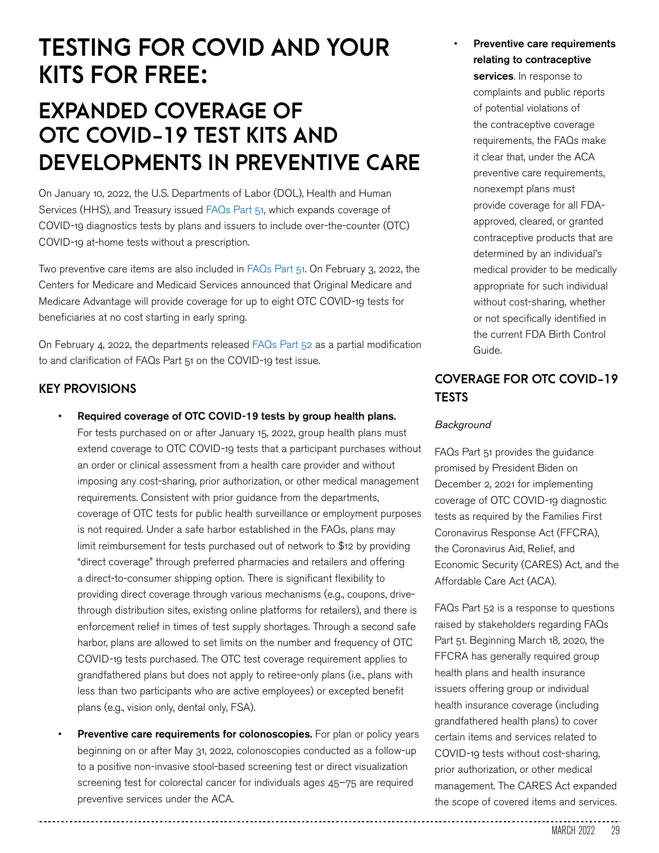# **TESTING FOR COVID AND YOUR KITS FOR FREE:**

## **EXPANDED COVERAGE OF OTC COVID-19 TEST KITS AND DEVELOPMENTS IN PREVENTIVE CARE**

On January 10, 2022, the U.S. Departments of Labor (DOL), Health and Human Services (HHS), and Treasury issued FAQs Part 51, which expands coverage of COVID-19 diagnostics tests by plans and issuers to include over-the-counter (OTC) COVID-19 at-home tests without a prescription.

Two preventive care items are also included in FAQs Part 51. On February 3, 2022, the Centers for Medicare and Medicaid Services announced that Original Medicare and Medicare Advantage will provide coverage for up to eight OTC COVID-19 tests for beneficiaries at no cost starting in early spring.

On February 4, 2022, the departments released FAQs Part 52 as a partial modification to and clarification of FAQs Part 51 on the COVID-19 test issue.

#### **KEY PROVISIONS**

- Required coverage of OTC COVID-19 tests by group health plans. For tests purchased on or after January 15, 2022, group health plans must extend coverage to OTC COVID-19 tests that a participant purchases without an order or clinical assessment from a health care provider and without imposing any cost-sharing, prior authorization, or other medical management requirements. Consistent with prior guidance from the departments, coverage of OTC tests for public health surveillance or employment purposes is not required. Under a safe harbor established in the FAQs, plans may limit reimbursement for tests purchased out of network to \$12 by providing "direct coverage" through preferred pharmacies and retailers and offering a direct-to-consumer shipping option. There is significant flexibility to providing direct coverage through various mechanisms (e.g., coupons, drivethrough distribution sites, existing online platforms for retailers), and there is enforcement relief in times of test supply shortages. Through a second safe harbor, plans are allowed to set limits on the number and frequency of OTC COVID-19 tests purchased. The OTC test coverage requirement applies to grandfathered plans but does not apply to retiree-only plans (i.e., plans with less than two participants who are active employees) or excepted benefit plans (e.g., vision only, dental only, FSA).
- Preventive care requirements for colonoscopies. For plan or policy years beginning on or after May 31, 2022, colonoscopies conducted as a follow-up to a positive non-invasive stool-based screening test or direct visualization screening test for colorectal cancer for individuals ages 45–75 are required preventive services under the ACA.

Preventive care requirements relating to contraceptive

services. In response to complaints and public reports of potential violations of the contraceptive coverage requirements, the FAQs make it clear that, under the ACA preventive care requirements, nonexempt plans must provide coverage for all FDAapproved, cleared, or granted contraceptive products that are determined by an individual's medical provider to be medically appropriate for such individual without cost-sharing, whether or not specifically identified in the current FDA Birth Control Guide.

#### **COVERAGE FOR OTC COVID-19 TESTS**

#### *Background*

FAQs Part 51 provides the guidance promised by President Biden on December 2, 2021 for implementing coverage of OTC COVID-19 diagnostic tests as required by the Families First Coronavirus Response Act (FFCRA), the Coronavirus Aid, Relief, and Economic Security (CARES) Act, and the Affordable Care Act (ACA).

FAQs Part 52 is a response to questions raised by stakeholders regarding FAQs Part 51. Beginning March 18, 2020, the FFCRA has generally required group health plans and health insurance issuers offering group or individual health insurance coverage (including grandfathered health plans) to cover certain items and services related to COVID-19 tests without cost-sharing, prior authorization, or other medical management. The CARES Act expanded the scope of covered items and services.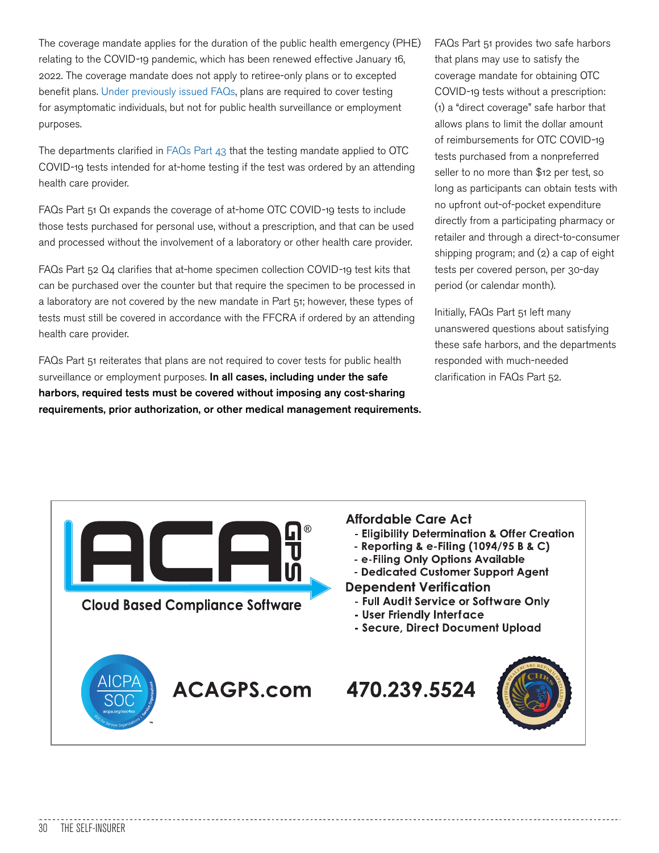The coverage mandate applies for the duration of the public health emergency (PHE) relating to the COVID-19 pandemic, which has been renewed effective January 16, 2022. The coverage mandate does not apply to retiree-only plans or to excepted benefit plans. Under previously issued FAQs, plans are required to cover testing for asymptomatic individuals, but not for public health surveillance or employment purposes.

The departments clarified in FAQs Part 43 that the testing mandate applied to OTC COVID-19 tests intended for at-home testing if the test was ordered by an attending health care provider.

FAQs Part 51 Q1 expands the coverage of at-home OTC COVID-19 tests to include those tests purchased for personal use, without a prescription, and that can be used and processed without the involvement of a laboratory or other health care provider.

FAQs Part 52 Q4 clarifies that at-home specimen collection COVID-19 test kits that can be purchased over the counter but that require the specimen to be processed in a laboratory are not covered by the new mandate in Part 51; however, these types of tests must still be covered in accordance with the FFCRA if ordered by an attending health care provider.

FAQs Part 51 reiterates that plans are not required to cover tests for public health surveillance or employment purposes. In all cases, including under the safe harbors, required tests must be covered without imposing any cost-sharing requirements, prior authorization, or other medical management requirements. FAQs Part 51 provides two safe harbors that plans may use to satisfy the coverage mandate for obtaining OTC COVID-19 tests without a prescription: (1) a "direct coverage" safe harbor that allows plans to limit the dollar amount of reimbursements for OTC COVID-19 tests purchased from a nonpreferred seller to no more than \$12 per test, so long as participants can obtain tests with no upfront out-of-pocket expenditure directly from a participating pharmacy or retailer and through a direct-to-consumer shipping program; and (2) a cap of eight tests per covered person, per 30-day period (or calendar month).

Initially, FAQs Part 51 left many unanswered questions about satisfying these safe harbors, and the departments responded with much-needed clarification in FAQs Part 52.

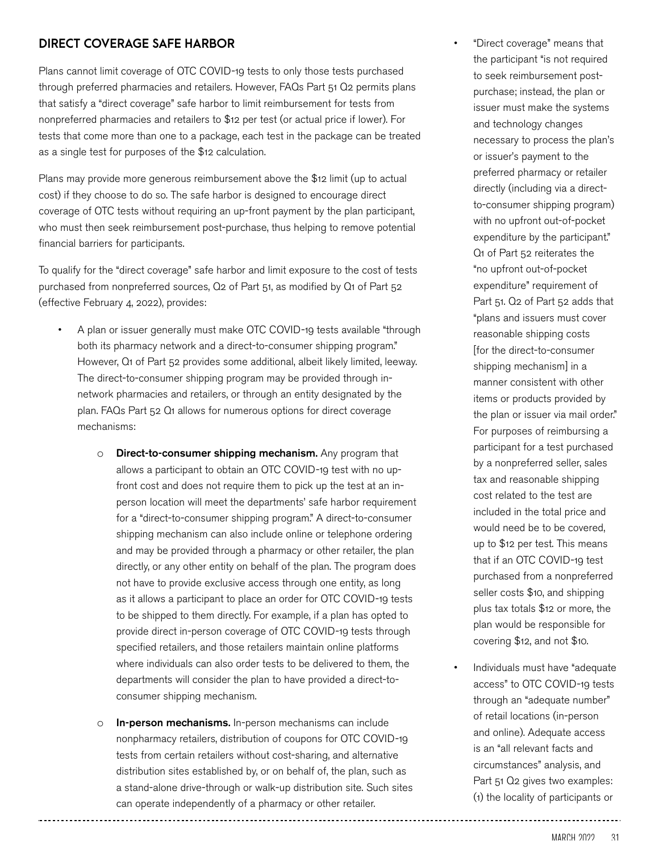#### **DIRECT COVERAGE SAFE HARBOR**

Plans cannot limit coverage of OTC COVID-19 tests to only those tests purchased through preferred pharmacies and retailers. However, FAQs Part 51 Q2 permits plans that satisfy a "direct coverage" safe harbor to limit reimbursement for tests from nonpreferred pharmacies and retailers to \$12 per test (or actual price if lower). For tests that come more than one to a package, each test in the package can be treated as a single test for purposes of the \$12 calculation.

Plans may provide more generous reimbursement above the \$12 limit (up to actual cost) if they choose to do so. The safe harbor is designed to encourage direct coverage of OTC tests without requiring an up-front payment by the plan participant, who must then seek reimbursement post-purchase, thus helping to remove potential financial barriers for participants.

To qualify for the "direct coverage" safe harbor and limit exposure to the cost of tests purchased from nonpreferred sources, Q2 of Part 51, as modified by Q1 of Part 52 (effective February 4, 2022), provides:

- A plan or issuer generally must make OTC COVID-19 tests available "through both its pharmacy network and a direct-to-consumer shipping program." However, Q1 of Part 52 provides some additional, albeit likely limited, leeway. The direct-to-consumer shipping program may be provided through innetwork pharmacies and retailers, or through an entity designated by the plan. FAQs Part 52 Q1 allows for numerous options for direct coverage mechanisms:
	- o **Direct-to-consumer shipping mechanism.** Any program that allows a participant to obtain an OTC COVID-19 test with no upfront cost and does not require them to pick up the test at an inperson location will meet the departments' safe harbor requirement for a "direct-to-consumer shipping program." A direct-to-consumer shipping mechanism can also include online or telephone ordering and may be provided through a pharmacy or other retailer, the plan directly, or any other entity on behalf of the plan. The program does not have to provide exclusive access through one entity, as long as it allows a participant to place an order for OTC COVID-19 tests to be shipped to them directly. For example, if a plan has opted to provide direct in-person coverage of OTC COVID-19 tests through specified retailers, and those retailers maintain online platforms where individuals can also order tests to be delivered to them, the departments will consider the plan to have provided a direct-toconsumer shipping mechanism.
	- o **In-person mechanisms.** In-person mechanisms can include nonpharmacy retailers, distribution of coupons for OTC COVID-19 tests from certain retailers without cost-sharing, and alternative distribution sites established by, or on behalf of, the plan, such as a stand-alone drive-through or walk-up distribution site. Such sites can operate independently of a pharmacy or other retailer.
- "Direct coverage" means that the participant "is not required to seek reimbursement postpurchase; instead, the plan or issuer must make the systems and technology changes necessary to process the plan's or issuer's payment to the preferred pharmacy or retailer directly (including via a directto-consumer shipping program) with no upfront out-of-pocket expenditure by the participant." Q1 of Part 52 reiterates the "no upfront out-of-pocket expenditure" requirement of Part 51. Q2 of Part 52 adds that "plans and issuers must cover reasonable shipping costs [for the direct-to-consumer shipping mechanism] in a manner consistent with other items or products provided by the plan or issuer via mail order." For purposes of reimbursing a participant for a test purchased by a nonpreferred seller, sales tax and reasonable shipping cost related to the test are included in the total price and would need be to be covered, up to \$12 per test. This means that if an OTC COVID-19 test purchased from a nonpreferred seller costs \$10, and shipping plus tax totals \$12 or more, the plan would be responsible for covering \$12, and not \$10.
- Individuals must have "adequate access" to OTC COVID-19 tests through an "adequate number" of retail locations (in-person and online). Adequate access is an "all relevant facts and circumstances" analysis, and Part 51 Q2 gives two examples: (1) the locality of participants or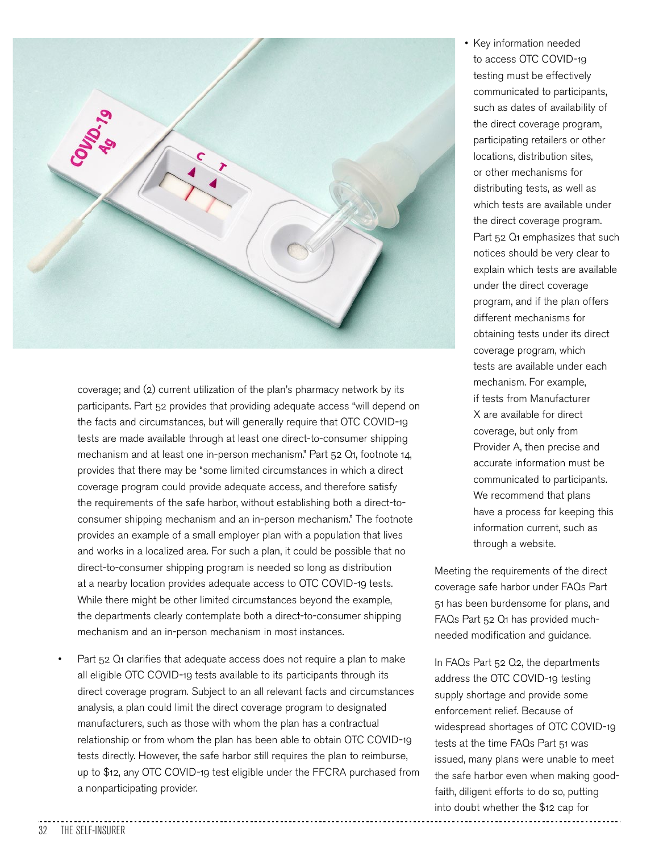

coverage; and (2) current utilization of the plan's pharmacy network by its participants. Part 52 provides that providing adequate access "will depend on the facts and circumstances, but will generally require that OTC COVID-19 tests are made available through at least one direct-to-consumer shipping mechanism and at least one in-person mechanism." Part 52 Q1, footnote 14, provides that there may be "some limited circumstances in which a direct coverage program could provide adequate access, and therefore satisfy the requirements of the safe harbor, without establishing both a direct-toconsumer shipping mechanism and an in-person mechanism." The footnote provides an example of a small employer plan with a population that lives and works in a localized area. For such a plan, it could be possible that no direct-to-consumer shipping program is needed so long as distribution at a nearby location provides adequate access to OTC COVID-19 tests. While there might be other limited circumstances beyond the example, the departments clearly contemplate both a direct-to-consumer shipping mechanism and an in-person mechanism in most instances.

• Part 52 Q1 clarifies that adequate access does not require a plan to make all eligible OTC COVID-19 tests available to its participants through its direct coverage program. Subject to an all relevant facts and circumstances analysis, a plan could limit the direct coverage program to designated manufacturers, such as those with whom the plan has a contractual relationship or from whom the plan has been able to obtain OTC COVID-19 tests directly. However, the safe harbor still requires the plan to reimburse, up to \$12, any OTC COVID-19 test eligible under the FFCRA purchased from a nonparticipating provider.

• Key information needed to access OTC COVID-19 testing must be effectively communicated to participants, such as dates of availability of the direct coverage program, participating retailers or other locations, distribution sites, or other mechanisms for distributing tests, as well as which tests are available under the direct coverage program. Part 52 Q1 emphasizes that such notices should be very clear to explain which tests are available under the direct coverage program, and if the plan offers different mechanisms for obtaining tests under its direct coverage program, which tests are available under each mechanism. For example, if tests from Manufacturer X are available for direct coverage, but only from Provider A, then precise and accurate information must be communicated to participants. We recommend that plans have a process for keeping this information current, such as through a website.

Meeting the requirements of the direct coverage safe harbor under FAQs Part 51 has been burdensome for plans, and FAQs Part 52 Q1 has provided muchneeded modification and guidance.

In FAQs Part 52 Q2, the departments address the OTC COVID-19 testing supply shortage and provide some enforcement relief. Because of widespread shortages of OTC COVID-19 tests at the time FAQs Part 51 was issued, many plans were unable to meet the safe harbor even when making goodfaith, diligent efforts to do so, putting into doubt whether the \$12 cap for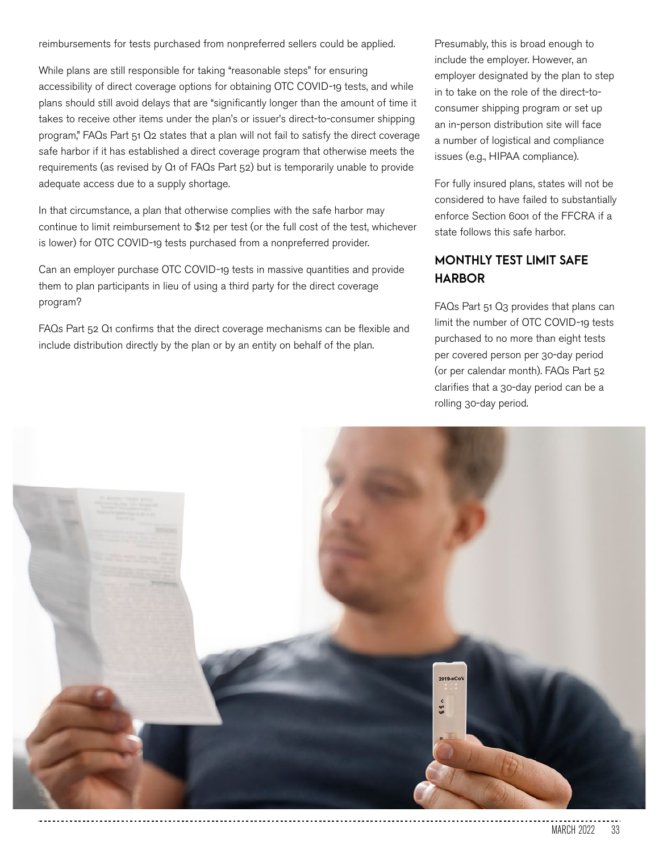reimbursements for tests purchased from nonpreferred sellers could be applied.

While plans are still responsible for taking "reasonable steps" for ensuring accessibility of direct coverage options for obtaining OTC COVID-19 tests, and while plans should still avoid delays that are "significantly longer than the amount of time it takes to receive other items under the plan's or issuer's direct-to-consumer shipping program," FAQs Part 51 Q2 states that a plan will not fail to satisfy the direct coverage safe harbor if it has established a direct coverage program that otherwise meets the requirements (as revised by Q1 of FAQs Part 52) but is temporarily unable to provide adequate access due to a supply shortage.

In that circumstance, a plan that otherwise complies with the safe harbor may continue to limit reimbursement to \$12 per test (or the full cost of the test, whichever is lower) for OTC COVID-19 tests purchased from a nonpreferred provider.

Can an employer purchase OTC COVID-19 tests in massive quantities and provide them to plan participants in lieu of using a third party for the direct coverage program?

FAQs Part 52 Q1 confirms that the direct coverage mechanisms can be flexible and include distribution directly by the plan or by an entity on behalf of the plan.

Presumably, this is broad enough to include the employer. However, an employer designated by the plan to step in to take on the role of the direct-toconsumer shipping program or set up an in-person distribution site will face a number of logistical and compliance issues (e.g., HIPAA compliance).

For fully insured plans, states will not be considered to have failed to substantially enforce Section 6001 of the FFCRA if a state follows this safe harbor.

#### **MONTHLY TEST LIMIT SAFE HARBOR**

FAQs Part 51 Q3 provides that plans can limit the number of OTC COVID-19 tests purchased to no more than eight tests per covered person per 30-day period (or per calendar month). FAQs Part 52 clarifies that a 30-day period can be a rolling 30-day period.

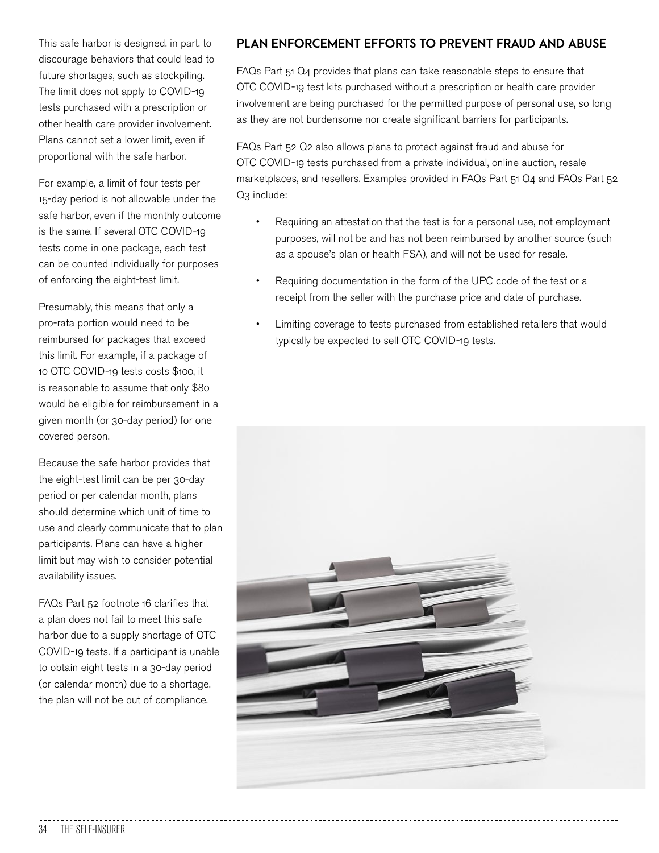This safe harbor is designed, in part, to discourage behaviors that could lead to future shortages, such as stockpiling. The limit does not apply to COVID-19 tests purchased with a prescription or other health care provider involvement. Plans cannot set a lower limit, even if proportional with the safe harbor.

For example, a limit of four tests per 15-day period is not allowable under the safe harbor, even if the monthly outcome is the same. If several OTC COVID-19 tests come in one package, each test can be counted individually for purposes of enforcing the eight-test limit.

Presumably, this means that only a pro-rata portion would need to be reimbursed for packages that exceed this limit. For example, if a package of 10 OTC COVID-19 tests costs \$100, it is reasonable to assume that only \$80 would be eligible for reimbursement in a given month (or 30-day period) for one covered person.

Because the safe harbor provides that the eight-test limit can be per 30-day period or per calendar month, plans should determine which unit of time to use and clearly communicate that to plan participants. Plans can have a higher limit but may wish to consider potential availability issues.

FAQs Part 52 footnote 16 clarifies that a plan does not fail to meet this safe harbor due to a supply shortage of OTC COVID-19 tests. If a participant is unable to obtain eight tests in a 30-day period (or calendar month) due to a shortage, the plan will not be out of compliance.

#### **PLAN ENFORCEMENT EFFORTS TO PREVENT FRAUD AND ABUSE**

FAQs Part 51 Q4 provides that plans can take reasonable steps to ensure that OTC COVID-19 test kits purchased without a prescription or health care provider involvement are being purchased for the permitted purpose of personal use, so long as they are not burdensome nor create significant barriers for participants.

FAQs Part 52 Q2 also allows plans to protect against fraud and abuse for OTC COVID-19 tests purchased from a private individual, online auction, resale marketplaces, and resellers. Examples provided in FAQs Part 51 Q4 and FAQs Part 52 Q<sub>3</sub> include:

- Requiring an attestation that the test is for a personal use, not employment purposes, will not be and has not been reimbursed by another source (such as a spouse's plan or health FSA), and will not be used for resale.
- Requiring documentation in the form of the UPC code of the test or a receipt from the seller with the purchase price and date of purchase.
- Limiting coverage to tests purchased from established retailers that would typically be expected to sell OTC COVID-19 tests.

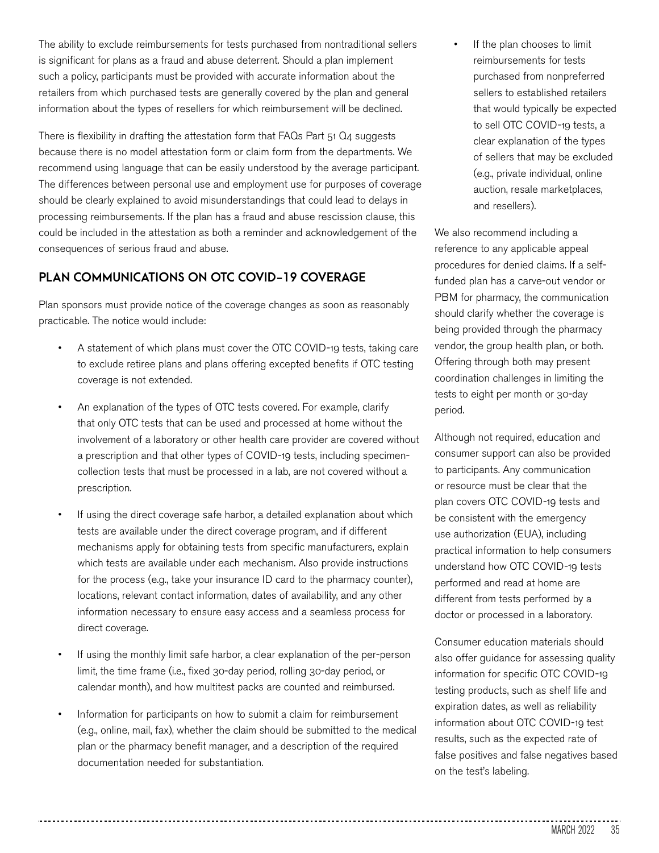The ability to exclude reimbursements for tests purchased from nontraditional sellers is significant for plans as a fraud and abuse deterrent. Should a plan implement such a policy, participants must be provided with accurate information about the retailers from which purchased tests are generally covered by the plan and general information about the types of resellers for which reimbursement will be declined.

There is flexibility in drafting the attestation form that FAQs Part 51 Q4 suggests because there is no model attestation form or claim form from the departments. We recommend using language that can be easily understood by the average participant. The differences between personal use and employment use for purposes of coverage should be clearly explained to avoid misunderstandings that could lead to delays in processing reimbursements. If the plan has a fraud and abuse rescission clause, this could be included in the attestation as both a reminder and acknowledgement of the consequences of serious fraud and abuse.

#### **PLAN COMMUNICATIONS ON OTC COVID-19 COVERAGE**

Plan sponsors must provide notice of the coverage changes as soon as reasonably practicable. The notice would include:

- A statement of which plans must cover the OTC COVID-19 tests, taking care to exclude retiree plans and plans offering excepted benefits if OTC testing coverage is not extended.
- An explanation of the types of OTC tests covered. For example, clarify that only OTC tests that can be used and processed at home without the involvement of a laboratory or other health care provider are covered without a prescription and that other types of COVID-19 tests, including specimencollection tests that must be processed in a lab, are not covered without a prescription.
- If using the direct coverage safe harbor, a detailed explanation about which tests are available under the direct coverage program, and if different mechanisms apply for obtaining tests from specific manufacturers, explain which tests are available under each mechanism. Also provide instructions for the process (e.g., take your insurance ID card to the pharmacy counter), locations, relevant contact information, dates of availability, and any other information necessary to ensure easy access and a seamless process for direct coverage.
- If using the monthly limit safe harbor, a clear explanation of the per-person limit, the time frame (i.e., fixed 30-day period, rolling 30-day period, or calendar month), and how multitest packs are counted and reimbursed.
- Information for participants on how to submit a claim for reimbursement (e.g., online, mail, fax), whether the claim should be submitted to the medical plan or the pharmacy benefit manager, and a description of the required documentation needed for substantiation.

If the plan chooses to limit reimbursements for tests purchased from nonpreferred sellers to established retailers that would typically be expected to sell OTC COVID-19 tests, a clear explanation of the types of sellers that may be excluded (e.g., private individual, online auction, resale marketplaces, and resellers).

We also recommend including a reference to any applicable appeal procedures for denied claims. If a selffunded plan has a carve-out vendor or PBM for pharmacy, the communication should clarify whether the coverage is being provided through the pharmacy vendor, the group health plan, or both. Offering through both may present coordination challenges in limiting the tests to eight per month or 30-day period.

Although not required, education and consumer support can also be provided to participants. Any communication or resource must be clear that the plan covers OTC COVID-19 tests and be consistent with the emergency use authorization (EUA), including practical information to help consumers understand how OTC COVID-19 tests performed and read at home are different from tests performed by a doctor or processed in a laboratory.

Consumer education materials should also offer guidance for assessing quality information for specific OTC COVID-19 testing products, such as shelf life and expiration dates, as well as reliability information about OTC COVID-19 test results, such as the expected rate of false positives and false negatives based on the test's labeling.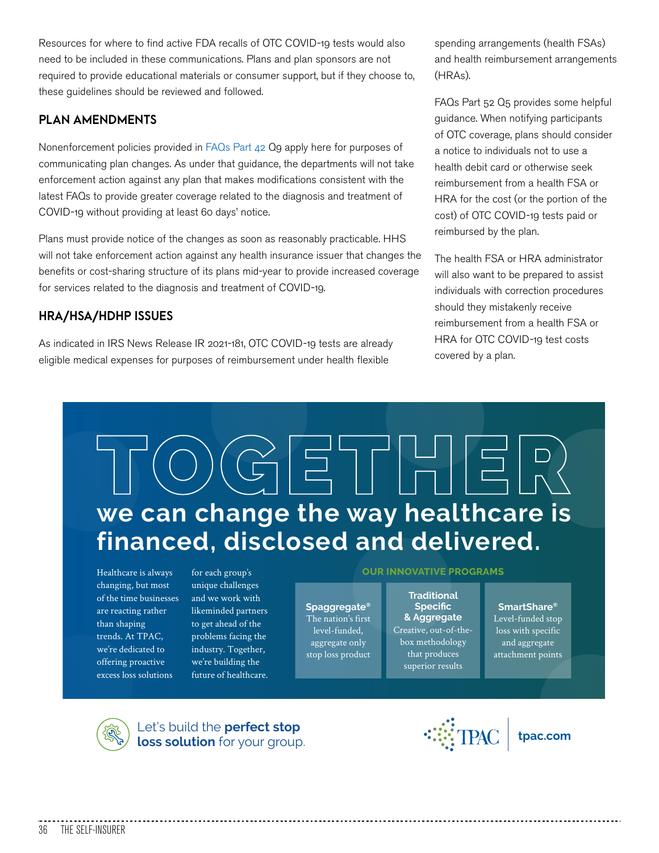Resources for where to find active FDA recalls of OTC COVID-19 tests would also need to be included in these communications. Plans and plan sponsors are not required to provide educational materials or consumer support, but if they choose to, these guidelines should be reviewed and followed.

#### **PLAN AMENDMENTS**

Nonenforcement policies provided in FAQs Part 42 Q9 apply here for purposes of communicating plan changes. As under that guidance, the departments will not take enforcement action against any plan that makes modifications consistent with the latest FAQs to provide greater coverage related to the diagnosis and treatment of COVID-19 without providing at least 60 days' notice.

Plans must provide notice of the changes as soon as reasonably practicable. HHS will not take enforcement action against any health insurance issuer that changes the benefits or cost-sharing structure of its plans mid-year to provide increased coverage for services related to the diagnosis and treatment of COVID-19.

#### **HRA/HSA/HDHP ISSUES**

As indicated in IRS News Release IR 2021-181, OTC COVID-19 tests are already eligible medical expenses for purposes of reimbursement under health flexible

spending arrangements (health FSAs) and health reimbursement arrangements (HRAs).

FAQs Part 52 Q5 provides some helpful guidance. When notifying participants of OTC coverage, plans should consider a notice to individuals not to use a health debit card or otherwise seek reimbursement from a health FSA or HRA for the cost (or the portion of the cost) of OTC COVID-19 tests paid or reimbursed by the plan.

The health FSA or HRA administrator will also want to be prepared to assist individuals with correction procedures should they mistakenly receive reimbursement from a health FSA or HRA for OTC COVID-19 test costs covered by a plan.

# $\equiv$ **we can change the way healthcare is financed, disclosed and delivered.**

Healthcare is always changing, but most of the time businesses are reacting rather than shaping trends. At TPAC, we're dedicated to offering proactive excess loss solutions

for each group's unique challenges and we work with likeminded partners to get ahead of the problems facing the industry. Together, we're building the future of healthcare.

#### **OUR INNOVATIVE PROGRAMS**

The nation's first level-funded, aggregate only stop loss product **Spaggregate®**

Creative, out-of-thebox methodology that produces superior results **Traditional Specific<br>& Aggregate** 

Level-funded stop loss with specific and aggregate attachment points **SmartShare®**



Let's build the **perfect stop**  Let's build the **perfect stop**<br> **loss solution** for your group. **the set of the solution** for your group.

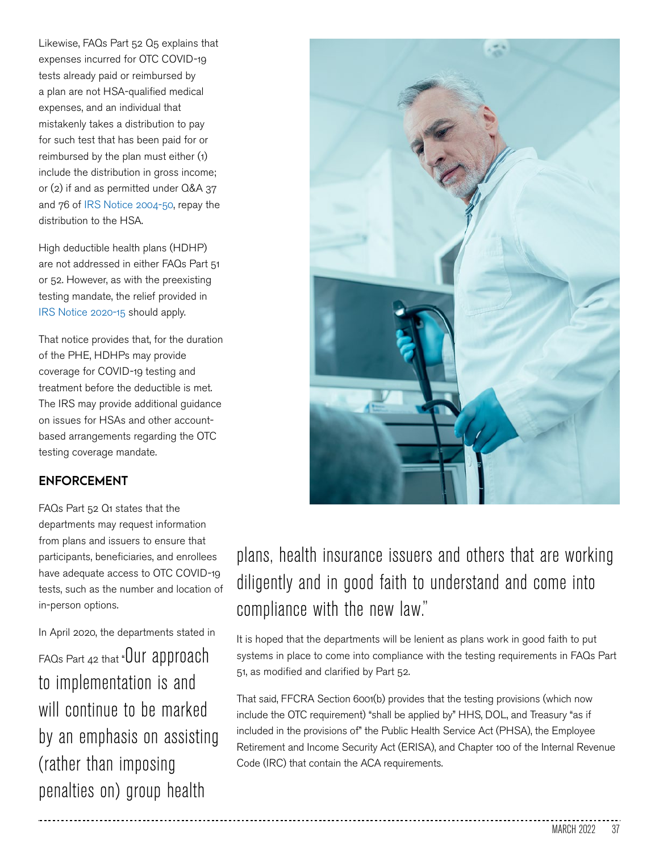Likewise, FAQs Part 52 Q5 explains that expenses incurred for OTC COVID-19 tests already paid or reimbursed by a plan are not HSA-qualified medical expenses, and an individual that mistakenly takes a distribution to pay for such test that has been paid for or reimbursed by the plan must either (1) include the distribution in gross income; or (2) if and as permitted under Q&A 37 and 76 of IRS Notice 2004-50, repay the distribution to the HSA.

High deductible health plans (HDHP) are not addressed in either FAQs Part 51 or 52. However, as with the preexisting testing mandate, the relief provided in IRS Notice 2020-15 should apply.

That notice provides that, for the duration of the PHE, HDHPs may provide coverage for COVID-19 testing and treatment before the deductible is met. The IRS may provide additional guidance on issues for HSAs and other accountbased arrangements regarding the OTC testing coverage mandate.

#### **ENFORCEMENT**

FAQs Part 52 Q1 states that the departments may request information from plans and issuers to ensure that participants, beneficiaries, and enrollees have adequate access to OTC COVID-19 tests, such as the number and location of in-person options.

In April 2020, the departments stated in FAQs Part 42 that "Our approach to implementation is and will continue to be marked by an emphasis on assisting (rather than imposing penalties on) group health



### plans, health insurance issuers and others that are working diligently and in good faith to understand and come into compliance with the new law."

It is hoped that the departments will be lenient as plans work in good faith to put systems in place to come into compliance with the testing requirements in FAQs Part 51, as modified and clarified by Part 52.

That said, FFCRA Section 6001(b) provides that the testing provisions (which now include the OTC requirement) "shall be applied by" HHS, DOL, and Treasury "as if included in the provisions of" the Public Health Service Act (PHSA), the Employee Retirement and Income Security Act (ERISA), and Chapter 100 of the Internal Revenue Code (IRC) that contain the ACA requirements.